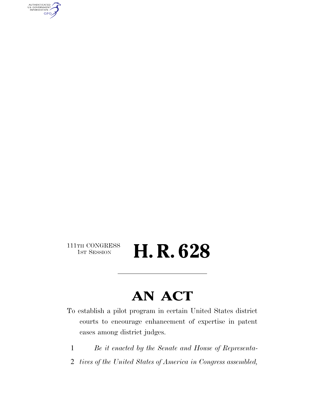AUTHENTICATED<br>U.S. GOVERNMENT<br>INFORMATION GPO

111TH CONGRESS<br>1st Session

H. R. 628

## **AN ACT**

To establish a pilot program in certain United States district courts to encourage enhancement of expertise in patent cases among district judges.

- 1 *Be it enacted by the Senate and House of Representa-*
- 2 *tives of the United States of America in Congress assembled,*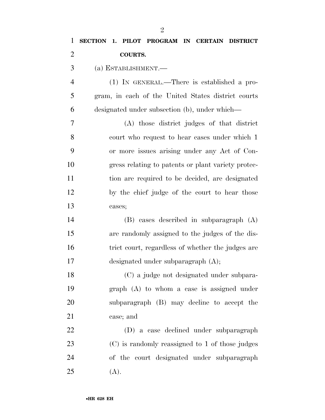| $\mathbf{1}$   | SECTION 1. PILOT PROGRAM IN CERTAIN DISTRICT       |
|----------------|----------------------------------------------------|
| $\overline{2}$ | <b>COURTS.</b>                                     |
| 3              | $(a)$ ESTABLISHMENT.—                              |
| $\overline{4}$ | $(1)$ IN GENERAL.—There is established a pro-      |
| 5              | gram, in each of the United States district courts |
| 6              | designated under subsection (b), under which—      |
| $\overline{7}$ | (A) those district judges of that district         |
| 8              | court who request to hear cases under which 1      |
| 9              | or more issues arising under any Act of Con-       |
| 10             | gress relating to patents or plant variety protec- |
| 11             | tion are required to be decided, are designated    |
| 12             | by the chief judge of the court to hear those      |
| 13             | cases;                                             |
| 14             | (B) cases described in subparagraph (A)            |
| 15             | are randomly assigned to the judges of the dis-    |
| 16             | trict court, regardless of whether the judges are  |
| 17             | designated under subparagraph $(A)$ ;              |
| 18             | (C) a judge not designated under subpara-          |
| 19             | $graph$ (A) to whom a case is assigned under       |
| 20             | subparagraph (B) may decline to accept the         |
| 21             | case; and                                          |
| 22             | (D) a case declined under subparagraph             |
| 23             | $(C)$ is randomly reassigned to 1 of those judges  |
| 24             | of the court designated under subparagraph         |
| 25             | (A).                                               |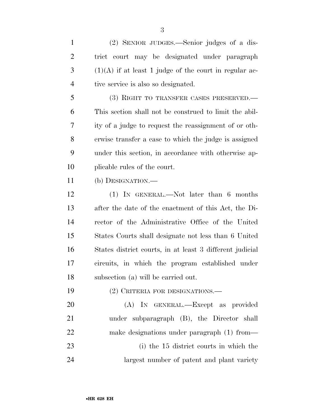(2) SENIOR JUDGES.—Senior judges of a dis- trict court may be designated under paragraph (1)(A) if at least 1 judge of the court in regular ac-4 tive service is also so designated. (3) RIGHT TO TRANSFER CASES PRESERVED.— This section shall not be construed to limit the abil-

 ity of a judge to request the reassignment of or oth- erwise transfer a case to which the judge is assigned under this section, in accordance with otherwise ap-plicable rules of the court.

(b) DESIGNATION.—

 (1) IN GENERAL.—Not later than 6 months after the date of the enactment of this Act, the Di- rector of the Administrative Office of the United States Courts shall designate not less than 6 United States district courts, in at least 3 different judicial circuits, in which the program established under subsection (a) will be carried out.

(2) CRITERIA FOR DESIGNATIONS.—

 (A) IN GENERAL.—Except as provided under subparagraph (B), the Director shall make designations under paragraph (1) from— (i) the 15 district courts in which the

largest number of patent and plant variety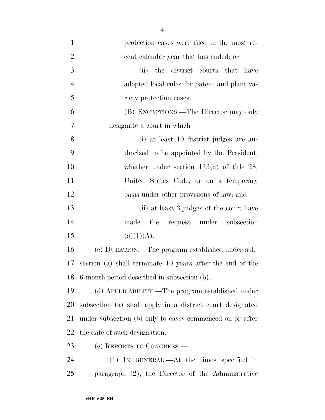| $\mathbf{1}$   | protection cases were filed in the most re-               |
|----------------|-----------------------------------------------------------|
| $\overline{2}$ | cent calendar year that has ended; or                     |
| 3              | the district courts that have<br>(ii)                     |
| $\overline{4}$ | adopted local rules for patent and plant va-              |
| 5              | riety protection cases.                                   |
| 6              | (B) EXCEPTIONS.—The Director may only                     |
| 7              | designate a court in which—                               |
| 8              | (i) at least 10 district judges are au-                   |
| 9              | thorized to be appointed by the President,                |
| 10             | whether under section $133(a)$ of title 28,               |
| 11             | United States Code, or on a temporary                     |
| 12             | basis under other provisions of law; and                  |
| 13             | (ii) at least 3 judges of the court have                  |
| 14             | made the request under subsection                         |
| 15             | (a)(1)(A).                                                |
| 16             | (c) DURATION.—The program established under sub-          |
| 17             | section (a) shall terminate 10 years after the end of the |
| 18             | 6-month period described in subsection (b).               |
| 19             | (d) APPLICABILITY.—The program established under          |
| 20             | subsection (a) shall apply in a district court designated |
| 21             | under subsection (b) only to cases commenced on or after  |
| 22             | the date of such designation.                             |
| 23             | (e) REPORTS TO CONGRESS.—                                 |
| 24             | $(1)$ IN GENERAL.—At the times specified in               |

paragraph (2), the Director of the Administrative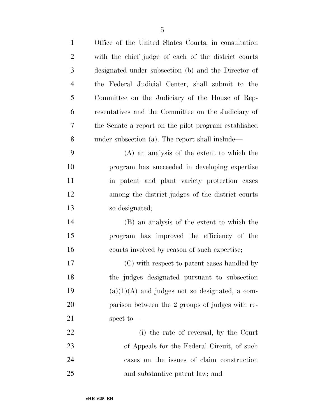| $\mathbf{1}$   | Office of the United States Courts, in consultation  |
|----------------|------------------------------------------------------|
| $\overline{2}$ | with the chief judge of each of the district courts  |
| 3              | designated under subsection (b) and the Director of  |
| $\overline{4}$ | the Federal Judicial Center, shall submit to the     |
| 5              | Committee on the Judiciary of the House of Rep-      |
| 6              | resentatives and the Committee on the Judiciary of   |
| 7              | the Senate a report on the pilot program established |
| 8              | under subsection (a). The report shall include—      |
| 9              | (A) an analysis of the extent to which the           |
| 10             | program has succeeded in developing expertise        |
| 11             | in patent and plant variety protection cases         |
| 12             | among the district judges of the district courts     |
| 13             | so designated;                                       |
| 14             | (B) an analysis of the extent to which the           |
| 15             | program has improved the efficiency of the           |
| 16             | courts involved by reason of such expertise;         |
| 17             | (C) with respect to patent cases handled by          |
| 18             | the judges designated pursuant to subsection         |
| 19             | $(a)(1)(A)$ and judges not so designated, a com-     |
| 20             | parison between the 2 groups of judges with re-      |
| 21             | spect to-                                            |
| 22             | (i) the rate of reversal, by the Court               |
| 23             | of Appeals for the Federal Circuit, of such          |
| 24             | cases on the issues of claim construction            |
| 25             | and substantive patent law; and                      |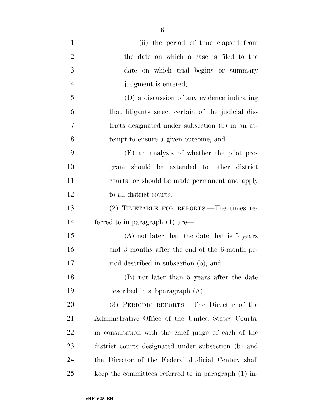| $\mathbf{1}$   | (ii) the period of time elapsed from                 |
|----------------|------------------------------------------------------|
| $\overline{2}$ | the date on which a case is filed to the             |
| 3              | date on which trial begins or summary                |
| $\overline{4}$ | judgment is entered;                                 |
| 5              | (D) a discussion of any evidence indicating          |
| 6              | that litigants select certain of the judicial dis-   |
| 7              | tricts designated under subsection (b) in an at-     |
| 8              | tempt to ensure a given outcome; and                 |
| 9              | (E) an analysis of whether the pilot pro-            |
| 10             | gram should be extended to other district            |
| 11             | courts, or should be made permanent and apply        |
| 12             | to all district courts.                              |
| 13             | (2) TIMETABLE FOR REPORTS.—The times re-             |
| 14             | ferred to in paragraph $(1)$ are—                    |
| 15             | $(A)$ not later than the date that is 5 years        |
| 16             | and 3 months after the end of the 6-month pe-        |
| 17             | riod described in subsection (b); and                |
| 18             | (B) not later than 5 years after the date            |
| 19             | described in subparagraph $(A)$ .                    |
| 20             | (3) PERIODIC REPORTS.—The Director of the            |
| 21             | Administrative Office of the United States Courts,   |
| 22             | in consultation with the chief judge of each of the  |
| 23             | district courts designated under subsection (b) and  |
| 24             | the Director of the Federal Judicial Center, shall   |
| 25             | keep the committees referred to in paragraph (1) in- |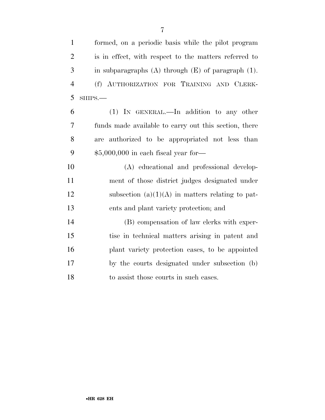| $\mathbf{1}$   | formed, on a periodic basis while the pilot program       |
|----------------|-----------------------------------------------------------|
| $\overline{2}$ | is in effect, with respect to the matters referred to     |
| 3              | in subparagraphs $(A)$ through $(E)$ of paragraph $(1)$ . |
| $\overline{4}$ | (f) AUTHORIZATION FOR TRAINING AND CLERK-                 |
| 5              | SHIPS.-                                                   |
| 6              | (1) IN GENERAL.—In addition to any other                  |
| 7              | funds made available to carry out this section, there     |
| 8              | are authorized to be appropriated not less than           |
| 9              | $$5,000,000$ in each fiscal year for-                     |
| 10             | (A) educational and professional develop-                 |
| 11             | ment of those district judges designated under            |
| 12             | subsection $(a)(1)(A)$ in matters relating to pat-        |
| 13             | ents and plant variety protection; and                    |
| 14             | (B) compensation of law clerks with exper-                |
| 15             | tise in technical matters arising in patent and           |
| 16             | plant variety protection cases, to be appointed           |
| 17             | by the courts designated under subsection (b)             |
| 18             | to assist those courts in such cases.                     |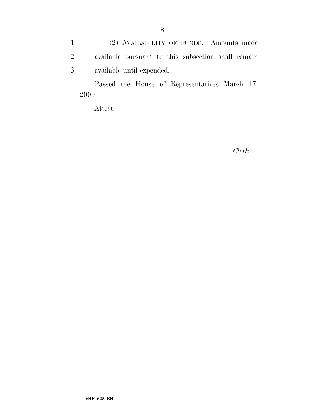1 (2) AVAILABILITY OF FUNDS.—Amounts made 2 available pursuant to this subsection shall remain 3 available until expended.

Passed the House of Representatives March 17, 2009.

Attest:

*Clerk.*